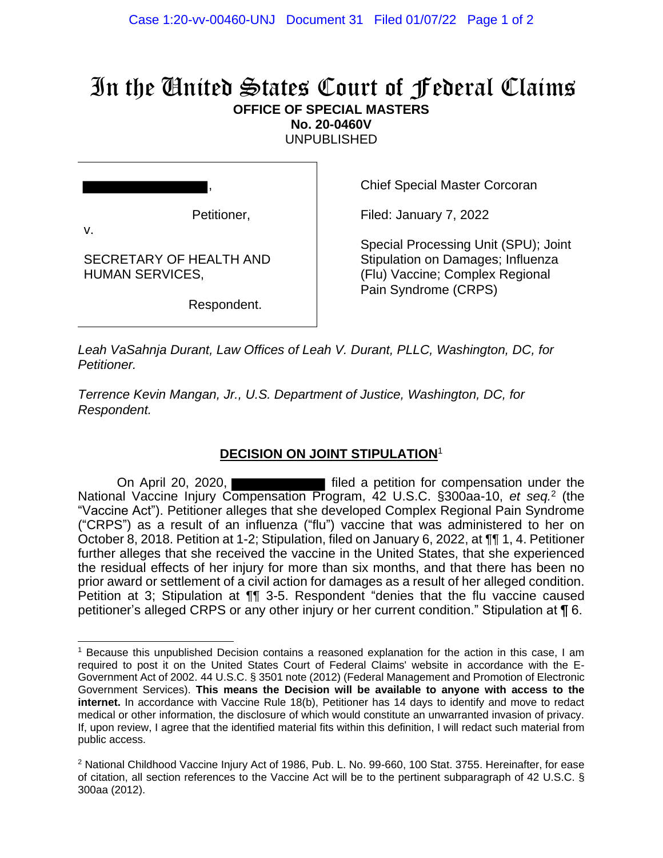## In the United States Court of Federal Claims **OFFICE OF SPECIAL MASTERS**

**No. 20-0460V**

UNPUBLISHED

Petitioner,

,

v.

SECRETARY OF HEALTH AND HUMAN SERVICES,

Respondent.

Chief Special Master Corcoran

Filed: January 7, 2022

Special Processing Unit (SPU); Joint Stipulation on Damages; Influenza (Flu) Vaccine; Complex Regional Pain Syndrome (CRPS)

*Leah VaSahnja Durant, Law Offices of Leah V. Durant, PLLC, Washington, DC, for Petitioner.*

*Terrence Kevin Mangan, Jr., U.S. Department of Justice, Washington, DC, for Respondent.*

## **DECISION ON JOINT STIPULATION**<sup>1</sup>

On April 20, 2020, National Vaccine Injury Compensation Program, 42 U.S.C. §300aa-10, et seq.<sup>2</sup> (the "Vaccine Act"). Petitioner alleges that she developed Complex Regional Pain Syndrome ("CRPS") as a result of an influenza ("flu") vaccine that was administered to her on October 8, 2018. Petition at 1-2; Stipulation, filed on January 6, 2022, at ¶¶ 1, 4. Petitioner further alleges that she received the vaccine in the United States, that she experienced the residual effects of her injury for more than six months, and that there has been no prior award or settlement of a civil action for damages as a result of her alleged condition. Petition at 3; Stipulation at ¶¶ 3-5. Respondent "denies that the flu vaccine caused petitioner's alleged CRPS or any other injury or her current condition." Stipulation at ¶ 6.

<sup>1</sup> Because this unpublished Decision contains a reasoned explanation for the action in this case, I am required to post it on the United States Court of Federal Claims' website in accordance with the E-Government Act of 2002. 44 U.S.C. § 3501 note (2012) (Federal Management and Promotion of Electronic Government Services). **This means the Decision will be available to anyone with access to the internet.** In accordance with Vaccine Rule 18(b), Petitioner has 14 days to identify and move to redact medical or other information, the disclosure of which would constitute an unwarranted invasion of privacy. If, upon review, I agree that the identified material fits within this definition, I will redact such material from public access.

<sup>&</sup>lt;sup>2</sup> National Childhood Vaccine Injury Act of 1986, Pub. L. No. 99-660, 100 Stat. 3755. Hereinafter, for ease of citation, all section references to the Vaccine Act will be to the pertinent subparagraph of 42 U.S.C. § 300aa (2012).